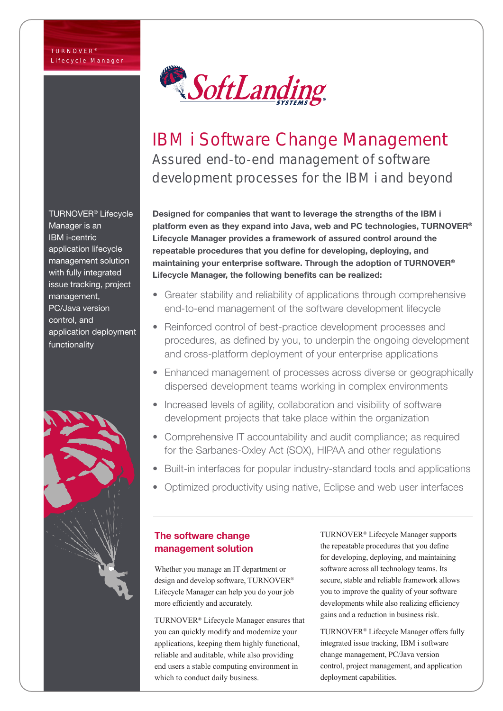

# IBM i Software Change Management Assured end-to-end management of software development processes for the IBM i and beyond

Designed for companies that want to leverage the strengths of the IBM i platform even as they expand into Java, web and PC technologies, TURNOVER<sup>®</sup> Lifecycle Manager provides a framework of assured control around the repeatable procedures that you define for developing, deploying, and maintaining your enterprise software. Through the adoption of TURNOVER® Lifecycle Manager, the following benefits can be realized:

- Greater stability and reliability of applications through comprehensive end-to-end management of the software development lifecycle
- Reinforced control of best-practice development processes and procedures, as defined by you, to underpin the ongoing development and cross-platform deployment of your enterprise applications
- Enhanced management of processes across diverse or geographically dispersed development teams working in complex environments
- Increased levels of agility, collaboration and visibility of software development projects that take place within the organization
- Comprehensive IT accountability and audit compliance; as required for the Sarbanes-Oxley Act (SOX), HIPAA and other regulations
- Built-in interfaces for popular industry-standard tools and applications
- Optimized productivity using native, Eclipse and web user interfaces

# The software change management solution

Whether you manage an IT department or design and develop software, TURNOVER® Lifecycle Manager can help you do your job more efficiently and accurately.

TURNOVER® Lifecycle Manager ensures that you can quickly modify and modernize your applications, keeping them highly functional, reliable and auditable, while also providing end users a stable computing environment in which to conduct daily business.

TURNOVER® Lifecycle Manager supports the repeatable procedures that you define for developing, deploying, and maintaining software across all technology teams. Its secure, stable and reliable framework allows you to improve the quality of your software developments while also realizing efficiency gains and a reduction in business risk.

TURNOVER® Lifecycle Manager offers fully integrated issue tracking, IBM i software change management, PC/Java version control, project management, and application deployment capabilities.

TURNOVER® Lifecycle Manager is an IBM i-centric application lifecycle management solution with fully integrated issue tracking, project management, PC/Java version control, and application deployment functionality